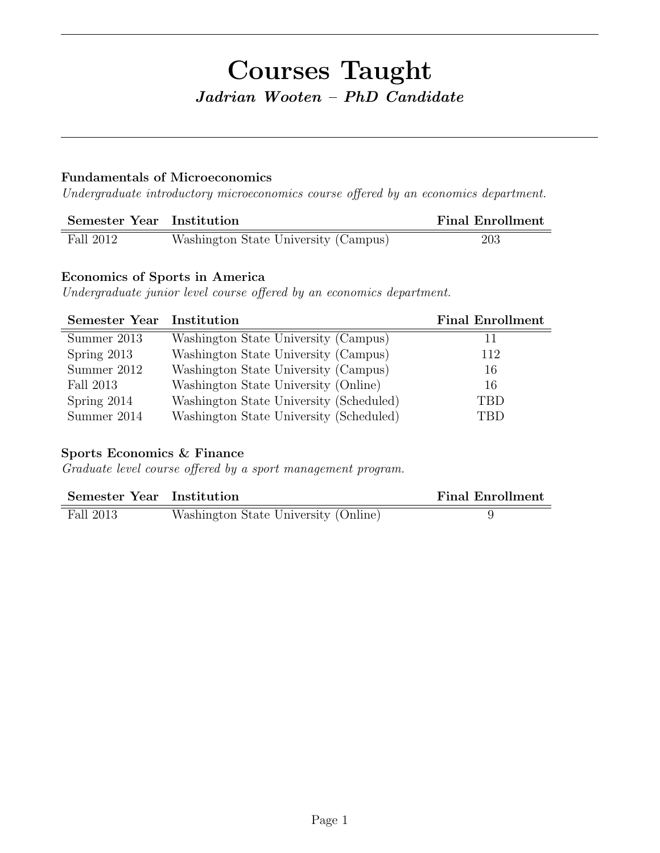# Courses Taught Jadrian Wooten – PhD Candidate

### Fundamentals of Microeconomics

Undergraduate introductory microeconomics course offered by an economics department.

| Semester Year Institution |                                      | <b>Final Enrollment</b> |
|---------------------------|--------------------------------------|-------------------------|
| Fall 2012                 | Washington State University (Campus) | 203                     |

## Economics of Sports in America

Undergraduate junior level course offered by an economics department.

| <b>Semester Year Institution</b> |                                         | <b>Final Enrollment</b> |
|----------------------------------|-----------------------------------------|-------------------------|
| Summer 2013                      | Washington State University (Campus)    | 11                      |
| Spring 2013                      | Washington State University (Campus)    | 112                     |
| Summer 2012                      | Washington State University (Campus)    | 16                      |
| Fall 2013                        | Washington State University (Online)    | 16                      |
| Spring 2014                      | Washington State University (Scheduled) | <b>TBD</b>              |
| Summer 2014                      | Washington State University (Scheduled) | TBD                     |

## Sports Economics & Finance

Graduate level course offered by a sport management program.

| Semester Year Institution |                                      | <b>Final Enrollment</b> |
|---------------------------|--------------------------------------|-------------------------|
| Fall 2013                 | Washington State University (Online) |                         |